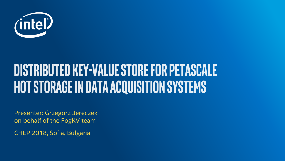

## **DISTRIBUTED KEY-VALUE STORE FOR PETASCALE HOT STORAGE IN DATA ACQUISITION SYSTEMS**

Presenter: Grzegorz Jereczek on behalf of the FogKV team

CHEP 2018, Sofia, Bulgaria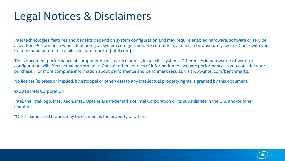### Legal Notices & Disclaimers

Intel technologies' features and benefits depend on system configuration and may require enabled hardware, software or service activation. Performance varies depending on system configuration. No computer system can be absolutely secure. Check with your system manufacturer or retailer or learn more at [intel.com].

Tests document performance of components on a particular test, in specific systems. Differences in hardware, software, or configuration will affect actual performance. Consult other sources of information to evaluate performance as you consider your purchase. For more complete information about performance and benchmark results, visit [www.intel.com/benchmarks](http://www.intel.com/benchmarks).

No license (express or implied, by estoppel or otherwise) to any intellectual property rights is granted by this document.

© 2018 Intel Corporation

Intel, the Intel logo, Intel Xeon, Intel, Optane are trademarks of Intel Corporation or its subsidiaries in the U.S. and/or other countries.

\*Other names and brands may be claimed as the property of others.

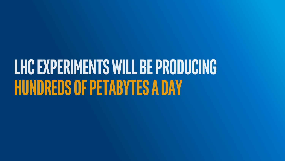# LHC EXPERIMENTS WILL BE PRODUCING **HUNDREDS OF PETABYTES A DAY**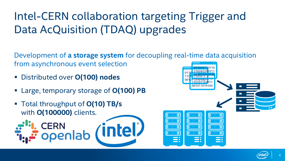### Intel-CERN collaboration targeting Trigger and Data AcQuisition (TDAQ) upgrades

Development of **a storage system** for decoupling real-time data acquisition from asynchronous event selection

- Distributed over **O(100) nodes**
- Large, temporary storage of **O(100) PB**
- Total throughput of **O(10) TB/s** with **O(100000)** clients.**CERN ntel/** openlab

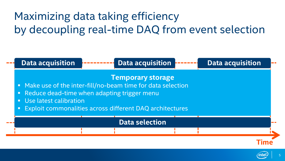### Maximizing data taking efficiency by decoupling real-time DAQ from event selection



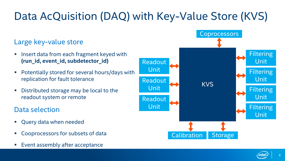### Data AcQuisition (DAQ) with Key-Value Store (KVS)

#### Large key-value store

- **If** Insert data from each fragment keyed with **(run\_id, event\_id, subdetector\_id)**
- **Potentially stored for several hours/days with** replication for fault tolerance
- **Distributed storage may be local to the** readout system or remote

#### Data selection

- Query data when needed
- Cooprocessors for subsets of data
- Event assembly after acceptance



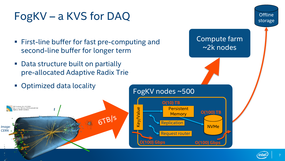### FogKV – a KVS for DAQ

- First-line buffer for fast pre-computing and second-line buffer for longer term
- Data structure built on partially pre-allocated Adaptive Radix Trie
- Optimized data locality





**Offline** storage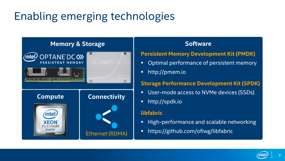### Enabling emerging technologies

#### **Memory & Storage**



#### **Software**

#### **Persistent Memory Development Kit (PMDK)**

- Optimal performance of persistent memory
- http://pmem.io

#### **Storage Performance Development Kit (SPDK)**

- User-mode access to NVMe devices (SSDs)
- **http://spdk.io**

#### **libfabric**

- **High-performance and scalable networking**
- https://github.com/ofiwg/libfabric

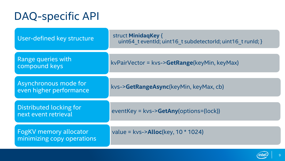### DAQ-specific API

| User-defined key structure                                  | struct MinidagKey {<br>uint64 t eventId; uint16 t subdetectorId; uint16 t runId; } |
|-------------------------------------------------------------|------------------------------------------------------------------------------------|
| <b>Range queries with</b><br>compound keys                  | kvPairVector = kvs->GetRange(keyMin, keyMax)                                       |
| Asynchronous mode for<br>even higher performance            | kvs->GetRangeAsync(keyMin, keyMax, cb)                                             |
| <b>Distributed locking for</b><br>next event retrieval      | eventKey = $kvs$ ->GetAny(options=(lock))                                          |
| <b>FogKV memory allocator</b><br>minimizing copy operations | value = $kvs$ ->Alloc(key, 10 $*$ 1024)                                            |

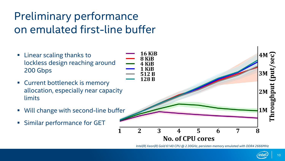### Preliminary performance on emulated first-line buffer

- **Example 1 Linear scaling thanks to** lockless design reaching around 200 Gbps
- **EXECUTE:** Current bottleneck is memory allocation, especially near capacity limits
- Will change with second-line buffer
- **Similar performance for GET**



*Intel(R) Xeon(R) Gold 6140 CPU @ 2.30GHz, persisten memory emulated with DDR4 2666MHz*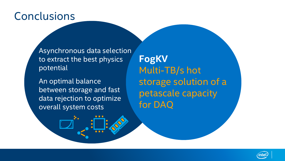### Conclusions

Asynchronous data selection to extract the best physics potential

An optimal balance between storage and fast data rejection to optimize overall system costs

**FogKV** Multi-TB/s hot storage solution of a petascale capacity for DAQ

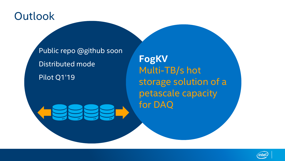### **Outlook**

Public repo @github soon Distributed mode Pilot Q1'19

**FogKV** Multi-TB/s hot storage solution of a petascale capacity for DAQ